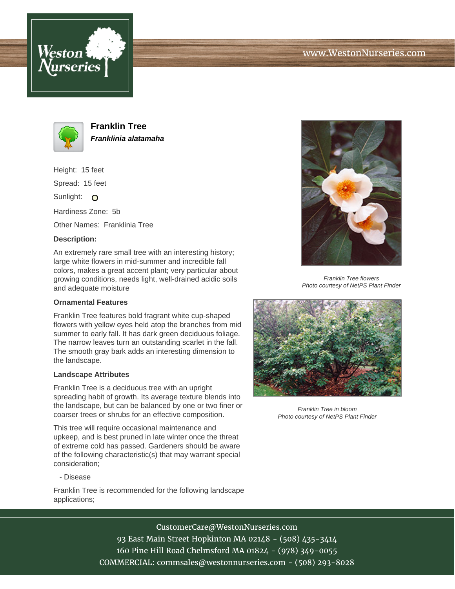



**Franklin Tree Franklinia alatamaha**

Height: 15 feet

Spread: 15 feet

Sunlight: O

Hardiness Zone: 5b

Other Names: Franklinia Tree

## **Description:**

An extremely rare small tree with an interesting history; large white flowers in mid-summer and incredible fall colors, makes a great accent plant; very particular about growing conditions, needs light, well-drained acidic soils and adequate moisture

## **Ornamental Features**

Franklin Tree features bold fragrant white cup-shaped flowers with yellow eyes held atop the branches from mid summer to early fall. It has dark green deciduous foliage. The narrow leaves turn an outstanding scarlet in the fall. The smooth gray bark adds an interesting dimension to the landscape.

## **Landscape Attributes**

Franklin Tree is a deciduous tree with an upright spreading habit of growth. Its average texture blends into the landscape, but can be balanced by one or two finer or coarser trees or shrubs for an effective composition.

This tree will require occasional maintenance and upkeep, and is best pruned in late winter once the threat of extreme cold has passed. Gardeners should be aware of the following characteristic(s) that may warrant special consideration;

- Disease

Franklin Tree is recommended for the following landscape applications;



Franklin Tree flowers Photo courtesy of NetPS Plant Finder



Franklin Tree in bloom Photo courtesy of NetPS Plant Finder

CustomerCare@WestonNurseries.com 93 East Main Street Hopkinton MA 02148 - (508) 435-3414 160 Pine Hill Road Chelmsford MA 01824 - (978) 349-0055 COMMERCIAL: commsales@westonnurseries.com - (508) 293-8028